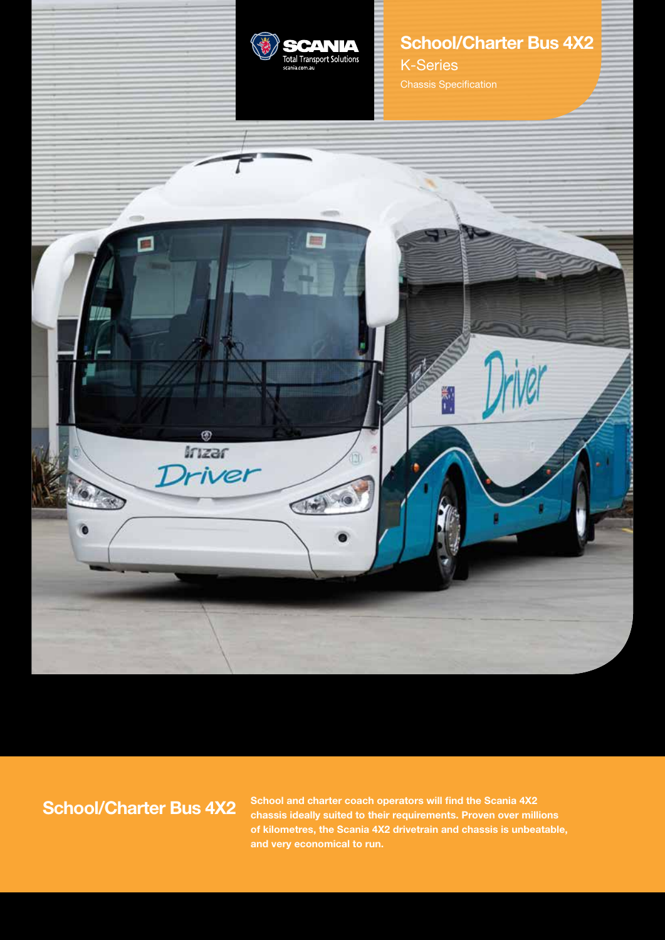

# **School/Charter Bus 4X2**

K-Series Chassis Specification



**School/Charter Bus 4X2**

**School and charter coach operators will find the Scania 4X2 chassis ideally suited to their requirements. Proven over millions of kilometres, the Scania 4X2 drivetrain and chassis is unbeatable, and very economical to run.**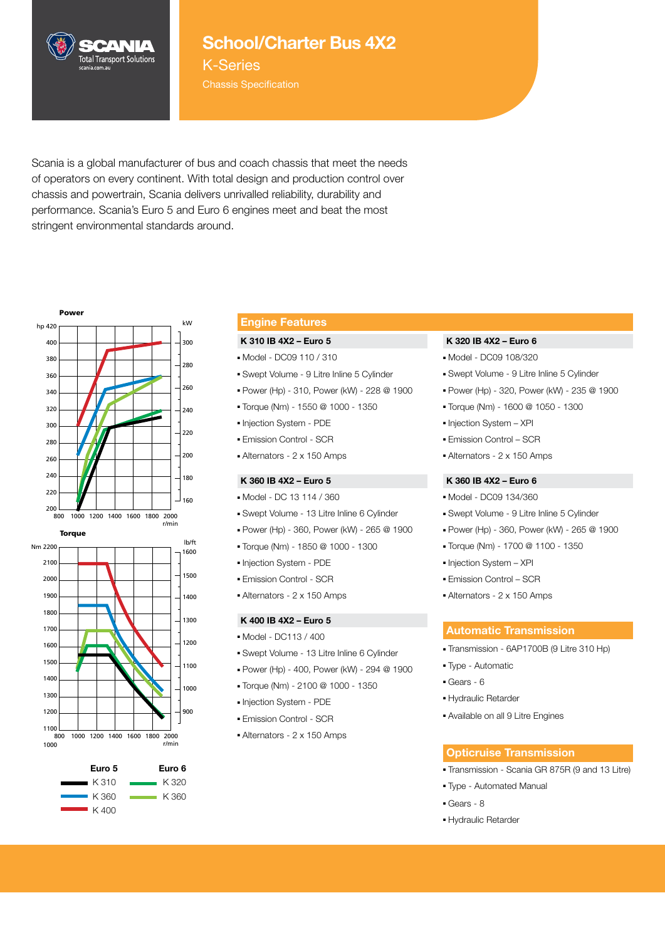

## **School/Charter Bus 4X2**

K-Series Chassis Specification

Scania is a global manufacturer of bus and coach chassis that meet the needs of operators on every continent. With total design and production control over chassis and powertrain, Scania delivers unrivalled reliability, durability and performance. Scania's Euro 5 and Euro 6 engines meet and beat the most stringent environmental standards around.





### **Engine Features**

#### **K 310 IB 4X2 – Euro 5**

- Model DC09 110 / 310
- Swept Volume 9 Litre Inline 5 Cylinder
- Power (Hp) 310, Power (kW) 228 @ 1900
- Torque (Nm) 1550 @ 1000 1350
- Injection System PDE
- Emission Control SCR
- Alternators 2 x 150 Amps

#### **K 360 IB 4X2 – Euro 5**

- Model DC 13 114 / 360
- Swept Volume 13 Litre Inline 6 Cylinder
- Power (Hp) 360, Power (kW) 265 @ 1900
	- Torque (Nm) 1850 @ 1000 1300
- Injection System PDE
- Emission Control SCR
- Alternators 2 x 150 Amps

#### **K 400 IB 4X2 – Euro 5**

- Model DC113 / 400
- Swept Volume 13 Litre Inline 6 Cylinder 220
- Power (Hp) 400, Power (kW) 294 @ 1900
- Torque (Nm) 2100 @ 1000 1350
- Injection System PDE
- Emission Control SCR
- Alternators 2 x 150 Amps

#### **K 320 IB 4X2 – Euro 6**

- Model DC09 108/320
- Swept Volume 9 Litre Inline 5 Cylinder
- Power (Hp) 320, Power (kW) 235 @ 1900
- Torque (Nm) 1600 @ 1050 1300
- Injection System XPI
- Emission Control SCR
- Alternators 2 x 150 Amps

#### **K 360 IB 4X2 – Euro 6**

- Model DC09 134/360
- Swept Volume 9 Litre Inline 5 Cylinder
- Power (Hp) 360, Power (kW) 265 @ 1900
- Torque (Nm) 1700 @ 1100 1350
- Injection System XPI
- Emission Control SCR
- Alternators 2 x 150 Amps

#### **Automatic Transmission**

- Transmission 6AP1700B (9 Litre 310 Hp)
- Type Automatic
- Gears 6
- Hydraulic Retarder
- Available on all 9 Litre Engines

#### **Opticruise Transmission**

- Transmission Scania GR 875R (9 and 13 Litre)
- Type Automated Manual
- Gears 8
- Hydraulic Retarder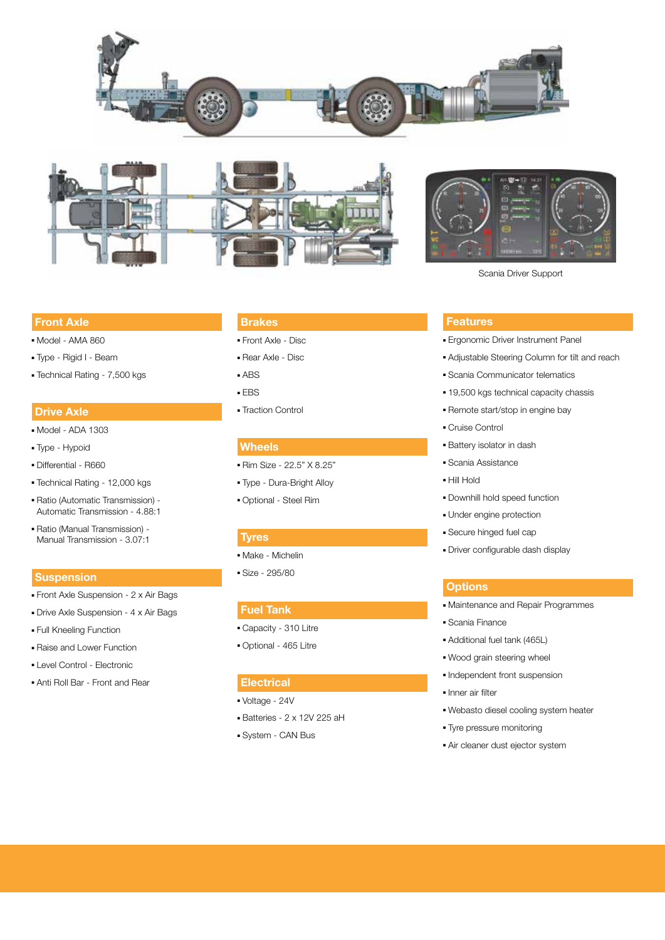





Scania Driver Support

#### **Front Axle**

- Model AMA 860
- Type Rigid I Beam
- Technical Rating 7,500 kgs

#### **Drive Axle**

- Model ADA 1303
- Type Hypoid
- Differential R660
- Technical Rating 12,000 kgs
- Ratio (Automatic Transmission) Automatic Transmission - 4.88:1
- Ratio (Manual Transmission) Manual Transmission - 3.07:1

#### **Suspension**

- Front Axle Suspension 2 x Air Bags
- Drive Axle Suspension 4 x Air Bags
- Full Kneeling Function
- Raise and Lower Function
- Level Control Electronic
- Anti Roll Bar Front and Rear

#### **Brakes**

- Front Axle Disc
- Rear Axle Disc
- ABS
- EBS
- Traction Control

### **Wheels**

- Rim Size 22.5" X 8.25"
- Type Dura-Bright Alloy
- Optional Steel Rim

#### **Tyres**

- Make Michelin
- Size 295/80

#### **Fuel Tank**

- Capacity 310 Litre
- Optional 465 Litre

#### **Electrical**

- Voltage 24V
- Batteries 2 x 12V 225 aH
- System CAN Bus

#### **Features**

- Ergonomic Driver Instrument Panel
- Adjustable Steering Column for tilt and reach
- Scania Communicator telematics
- 19,500 kgs technical capacity chassis
- Remote start/stop in engine bay
- Cruise Control
- Battery isolator in dash
- Scania Assistance
- Hill Hold
- Downhill hold speed function
- Under engine protection
- Secure hinged fuel cap
- Driver configurable dash display

#### **Options**

- Maintenance and Repair Programmes
- Scania Finance
- Additional fuel tank (465L)
- Wood grain steering wheel
- Independent front suspension
- Inner air filter
- Webasto diesel cooling system heater
- Tyre pressure monitoring
- Air cleaner dust ejector system